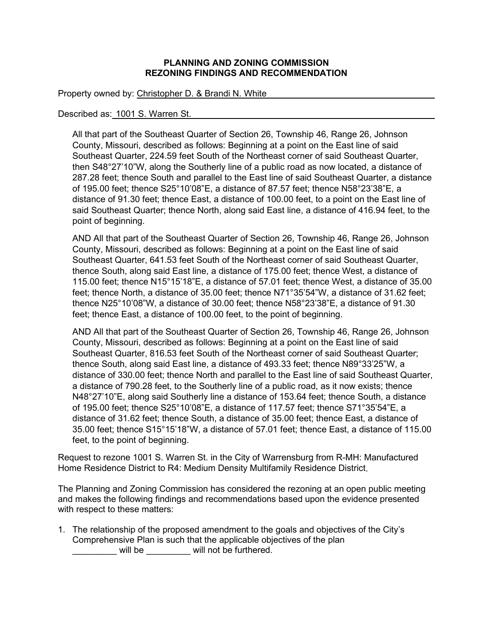## **PLANNING AND ZONING COMMISSION REZONING FINDINGS AND RECOMMENDATION**

Property owned by: Christopher D. & Brandi N. White

Described as: 1001 S. Warren St.

All that part of the Southeast Quarter of Section 26, Township 46, Range 26, Johnson County, Missouri, described as follows: Beginning at a point on the East line of said Southeast Quarter, 224.59 feet South of the Northeast corner of said Southeast Quarter, then S48°27'10"W, along the Southerly line of a public road as now located, a distance of 287.28 feet; thence South and parallel to the East line of said Southeast Quarter, a distance of 195.00 feet; thence S25°10'08"E, a distance of 87.57 feet; thence N58°23'38"E, a distance of 91.30 feet; thence East, a distance of 100.00 feet, to a point on the East line of said Southeast Quarter; thence North, along said East line, a distance of 416.94 feet, to the point of beginning.

AND All that part of the Southeast Quarter of Section 26, Township 46, Range 26, Johnson County, Missouri, described as follows: Beginning at a point on the East line of said Southeast Quarter, 641.53 feet South of the Northeast corner of said Southeast Quarter, thence South, along said East line, a distance of 175.00 feet; thence West, a distance of 115.00 feet; thence N15°15'18"E, a distance of 57.01 feet; thence West, a distance of 35.00 feet; thence North, a distance of 35.00 feet; thence N71°35'54"W, a distance of 31.62 feet; thence N25°10'08"W, a distance of 30.00 feet; thence N58°23'38"E, a distance of 91.30 feet; thence East, a distance of 100.00 feet, to the point of beginning.

AND All that part of the Southeast Quarter of Section 26, Township 46, Range 26, Johnson County, Missouri, described as follows: Beginning at a point on the East line of said Southeast Quarter, 816.53 feet South of the Northeast corner of said Southeast Quarter; thence South, along said East line, a distance of 493.33 feet; thence N89°33'25"W, a distance of 330.00 feet; thence North and parallel to the East line of said Southeast Quarter, a distance of 790.28 feet, to the Southerly line of a public road, as it now exists; thence N48°27'10"E, along said Southerly line a distance of 153.64 feet; thence South, a distance of 195.00 feet; thence S25°10'08"E, a distance of 117.57 feet; thence S71°35'54"E, a distance of 31.62 feet; thence South, a distance of 35.00 feet; thence East, a distance of 35.00 feet; thence S15°15'18"W, a distance of 57.01 feet; thence East, a distance of 115.00 feet, to the point of beginning.

Request to rezone 1001 S. Warren St. in the City of Warrensburg from R-MH: Manufactured Home Residence District to R4: Medium Density Multifamily Residence District.

The Planning and Zoning Commission has considered the rezoning at an open public meeting and makes the following findings and recommendations based upon the evidence presented with respect to these matters:

1. The relationship of the proposed amendment to the goals and objectives of the City's Comprehensive Plan is such that the applicable objectives of the plan \_\_\_\_\_\_\_\_\_ will be \_\_\_\_\_\_\_\_\_ will not be furthered.